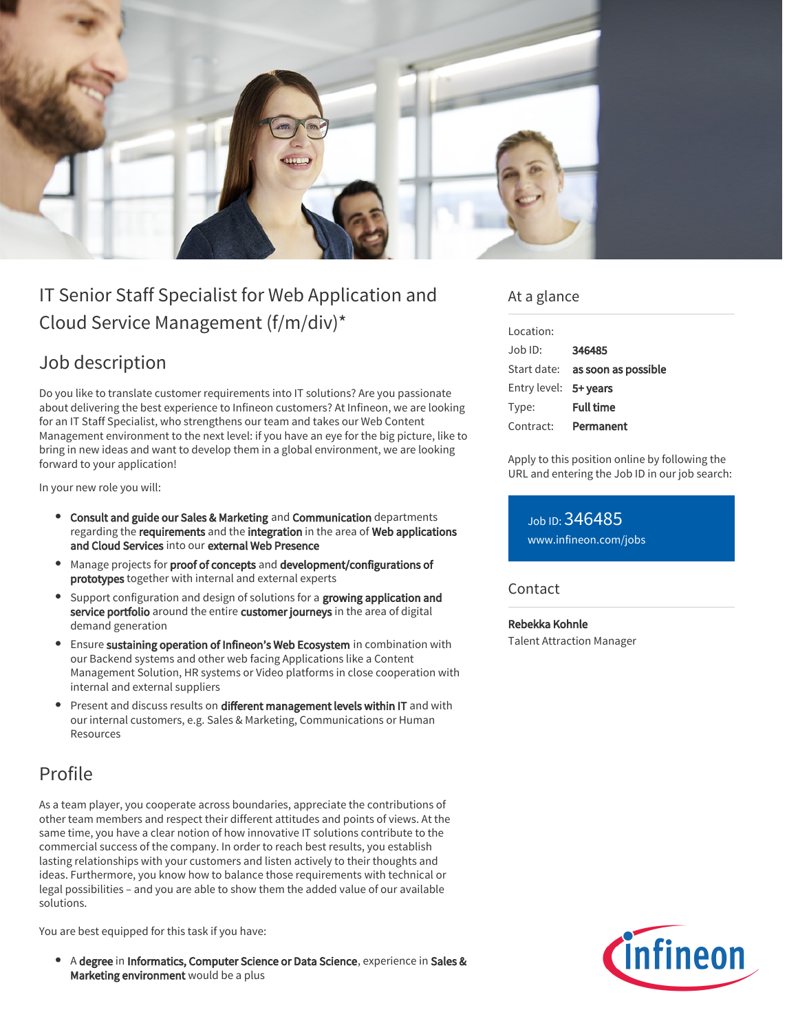

# IT Senior Staff Specialist for Web Application and Cloud Service Management (f/m/div)\*

## Job description

Do you like to translate customer requirements into IT solutions? Are you passionate about delivering the best experience to Infineon customers? At Infineon, we are looking for an IT Staff Specialist, who strengthens our team and takes our Web Content Management environment to the next level: if you have an eye for the big picture, like to bring in new ideas and want to develop them in a global environment, we are looking forward to your application!

In your new role you will:

- Consult and guide our Sales & Marketing and Communication departments regarding the requirements and the integration in the area of Web applications and Cloud Services into our external Web Presence
- Manage projects for proof of concepts and development/configurations of prototypes together with internal and external experts
- Support configuration and design of solutions for a growing application and service portfolio around the entire customer journeys in the area of digital demand generation
- Ensure sustaining operation of Infineon's Web Ecosystem in combination with our Backend systems and other web facing Applications like a Content Management Solution, HR systems or Video platforms in close cooperation with internal and external suppliers
- Present and discuss results on different management levels within IT and with our internal customers, e.g. Sales & Marketing, Communications or Human Resources

### Profile

As a team player, you cooperate across boundaries, appreciate the contributions of other team members and respect their different attitudes and points of views. At the same time, you have a clear notion of how innovative IT solutions contribute to the commercial success of the company. In order to reach best results, you establish lasting relationships with your customers and listen actively to their thoughts and ideas. Furthermore, you know how to balance those requirements with technical or legal possibilities – and you are able to show them the added value of our available solutions.

You are best equipped for this task if you have:

A degree in Informatics, Computer Science or Data Science, experience in Sales & Marketing environment would be a plus

#### At a glance

| Location:             |                                        |
|-----------------------|----------------------------------------|
| .lob ID:              | 346485                                 |
|                       | Start date: <b>as soon as possible</b> |
| Entry level: 5+ years |                                        |
| Type:                 | <b>Full time</b>                       |
| Contract:             | Permanent                              |

Apply to this position online by following the URL and entering the Job ID in our job search:

Job ID: 346485 [www.infineon.com/jobs](https://www.infineon.com/jobs)

#### **Contact**

Rebekka Kohnle Talent Attraction Manager